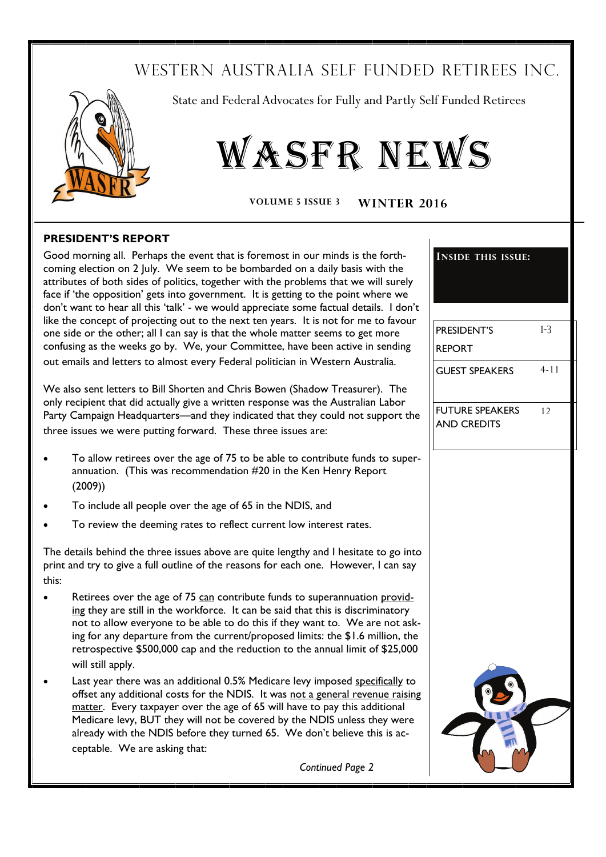# WESTERN AUSTRALIA SELF FUNDED RETIREES INC.



State and Federal Advocates for Fully and Partly Self Funded Retirees

# WASFR NEWS

**VOLUME 5 ISSUE 3 WINTER 2016**

#### **PRESIDENT'S REPORT**

Good morning all. Perhaps the event that is foremost in our minds is the forthcoming election on 2 July. We seem to be bombarded on a daily basis with the attributes of both sides of politics, together with the problems that we will surely face if 'the opposition' gets into government. It is getting to the point where we don't want to hear all this 'talk' - we would appreciate some factual details. I don't like the concept of projecting out to the next ten years. It is not for me to favour one side or the other; all I can say is that the whole matter seems to get more confusing as the weeks go by. We, your Committee, have been active in sending out emails and letters to almost every Federal politician in Western Australia.

We also sent letters to Bill Shorten and Chris Bowen (Shadow Treasurer). The only recipient that did actually give a written response was the Australian Labor Party Campaign Headquarters—and they indicated that they could not support the three issues we were putting forward. These three issues are:

- To allow retirees over the age of 75 to be able to contribute funds to superannuation. (This was recommendation #20 in the Ken Henry Report (2009))
- To include all people over the age of 65 in the NDIS, and
- To review the deeming rates to reflect current low interest rates.

The details behind the three issues above are quite lengthy and I hesitate to go into print and try to give a full outline of the reasons for each one. However, I can say this:

- Retirees over the age of 75 can contribute funds to superannuation providing they are still in the workforce. It can be said that this is discriminatory not to allow everyone to be able to do this if they want to. We are not asking for any departure from the current/proposed limits: the \$1.6 million, the retrospective \$500,000 cap and the reduction to the annual limit of \$25,000 will still apply.
- Last year there was an additional 0.5% Medicare levy imposed specifically to offset any additional costs for the NDIS. It was not a general revenue raising matter. Every taxpayer over the age of 65 will have to pay this additional Medicare levy, BUT they will not be covered by the NDIS unless they were already with the NDIS before they turned 65. We don't believe this is acceptable. We are asking that:

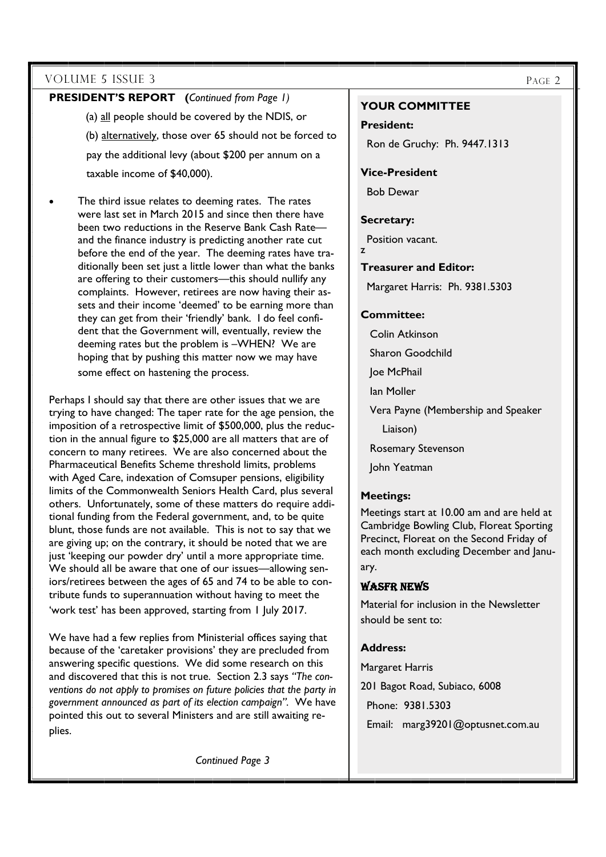#### **PRESIDENT'S REPORT (***Continued from Page 1)*

(a) all people should be covered by the NDIS, or

(b) alternatively, those over 65 should not be forced to

 pay the additional levy (about \$200 per annum on a taxable income of \$40,000).

 The third issue relates to deeming rates. The rates were last set in March 2015 and since then there have been two reductions in the Reserve Bank Cash Rate and the finance industry is predicting another rate cut before the end of the year. The deeming rates have traditionally been set just a little lower than what the banks are offering to their customers—this should nullify any complaints. However, retirees are now having their assets and their income 'deemed' to be earning more than they can get from their 'friendly' bank. I do feel confident that the Government will, eventually, review the deeming rates but the problem is –WHEN? We are hoping that by pushing this matter now we may have some effect on hastening the process.

Perhaps I should say that there are other issues that we are trying to have changed: The taper rate for the age pension, the imposition of a retrospective limit of \$500,000, plus the reduction in the annual figure to \$25,000 are all matters that are of concern to many retirees. We are also concerned about the Pharmaceutical Benefits Scheme threshold limits, problems with Aged Care, indexation of Comsuper pensions, eligibility limits of the Commonwealth Seniors Health Card, plus several others. Unfortunately, some of these matters do require additional funding from the Federal government, and, to be quite blunt, those funds are not available. This is not to say that we are giving up; on the contrary, it should be noted that we are just 'keeping our powder dry' until a more appropriate time. We should all be aware that one of our issues—allowing seniors/retirees between the ages of 65 and 74 to be able to contribute funds to superannuation without having to meet the 'work test' has been approved, starting from 1 July 2017.

We have had a few replies from Ministerial offices saying that because of the 'caretaker provisions' they are precluded from answering specific questions. We did some research on this and discovered that this is not true. Section 2.3 says *"The conventions do not apply to promises on future policies that the party in government announced as part of its election campaign".* We have pointed this out to several Ministers and are still awaiting replies.

*Continued Page 3* 

#### **YOUR COMMITTEE**

**President:** 

Ron de Gruchy: Ph. 9447.1313

#### **Vice-President**

Bob Dewar

#### **Secretary:**

Position vacant. z

#### **Treasurer and Editor:**

Margaret Harris: Ph. 9381.5303

#### **Committee:**

 Colin Atkinson Sharon Goodchild Joe McPhail Ian Moller Vera Payne (Membership and Speaker Liaison) Rosemary Stevenson John Yeatman

#### **Meetings:**

Meetings start at 10.00 am and are held at Cambridge Bowling Club, Floreat Sporting Precinct, Floreat on the Second Friday of each month excluding December and January.

#### WASFR NEWS

Material for inclusion in the Newsletter should be sent to:

#### **Address:**

Margaret Harris

201 Bagot Road, Subiaco, 6008

Phone: 9381.5303

Email: marg39201@optusnet.com.au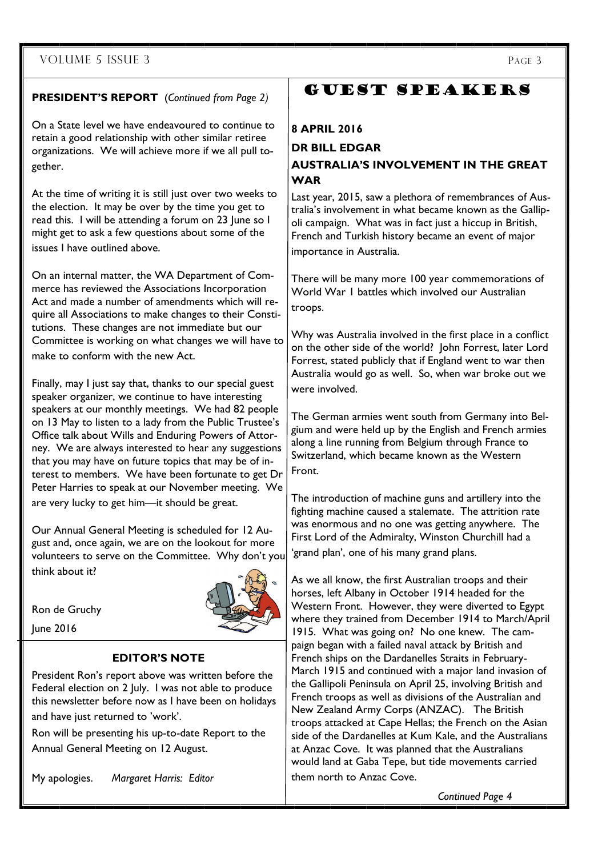#### **PRESIDENT'S REPORT** (*Continued from Page 2)*

On a State level we have endeavoured to continue to retain a good relationship with other similar retiree organizations. We will achieve more if we all pull together.

At the time of writing it is still just over two weeks to the election. It may be over by the time you get to read this. I will be attending a forum on 23 June so I might get to ask a few questions about some of the issues I have outlined above.

On an internal matter, the WA Department of Commerce has reviewed the Associations Incorporation Act and made a number of amendments which will require all Associations to make changes to their Constitutions. These changes are not immediate but our Committee is working on what changes we will have to make to conform with the new Act.

Finally, may I just say that, thanks to our special guest speaker organizer, we continue to have interesting speakers at our monthly meetings. We had 82 people on 13 May to listen to a lady from the Public Trustee's Office talk about Wills and Enduring Powers of Attorney. We are always interested to hear any suggestions that you may have on future topics that may be of interest to members. We have been fortunate to get Dr Peter Harries to speak at our November meeting. We are very lucky to get him—it should be great.

Our Annual General Meeting is scheduled for 12 August and, once again, we are on the lookout for more volunteers to serve on the Committee. Why don't you think about it?

Ron de Gruchy June 2016

#### **EDITOR'S NOTE**

President Ron's report above was written before the Federal election on 2 July. I was not able to produce this newsletter before now as I have been on holidays and have just returned to 'work'.

Ron will be presenting his up-to-date Report to the Annual General Meeting on 12 August.

My apologies. *Margaret Harris: Editor* 

# GUEST SPEAKERS

#### **8 APRIL 2016**

#### **DR BILL EDGAR AUSTRALIA'S INVOLVEMENT IN THE GREAT WAR**

Last year, 2015, saw a plethora of remembrances of Australia's involvement in what became known as the Gallipoli campaign. What was in fact just a hiccup in British, French and Turkish history became an event of major importance in Australia.

There will be many more 100 year commemorations of World War 1 battles which involved our Australian troops.

Why was Australia involved in the first place in a conflict on the other side of the world? John Forrest, later Lord Forrest, stated publicly that if England went to war then Australia would go as well. So, when war broke out we were involved.

The German armies went south from Germany into Belgium and were held up by the English and French armies along a line running from Belgium through France to Switzerland, which became known as the Western Front.

The introduction of machine guns and artillery into the fighting machine caused a stalemate. The attrition rate was enormous and no one was getting anywhere. The First Lord of the Admiralty, Winston Churchill had a 'grand plan', one of his many grand plans.

As we all know, the first Australian troops and their horses, left Albany in October 1914 headed for the Western Front. However, they were diverted to Egypt where they trained from December 1914 to March/April 1915. What was going on? No one knew. The campaign began with a failed naval attack by British and French ships on the Dardanelles Straits in February-March 1915 and continued with a major land invasion of the Gallipoli Peninsula on April 25, involving British and French troops as well as divisions of the Australian and New Zealand Army Corps (ANZAC). The British troops attacked at Cape Hellas; the French on the Asian side of the Dardanelles at Kum Kale, and the Australians at Anzac Cove. It was planned that the Australians would land at Gaba Tepe, but tide movements carried them north to Anzac Cove.

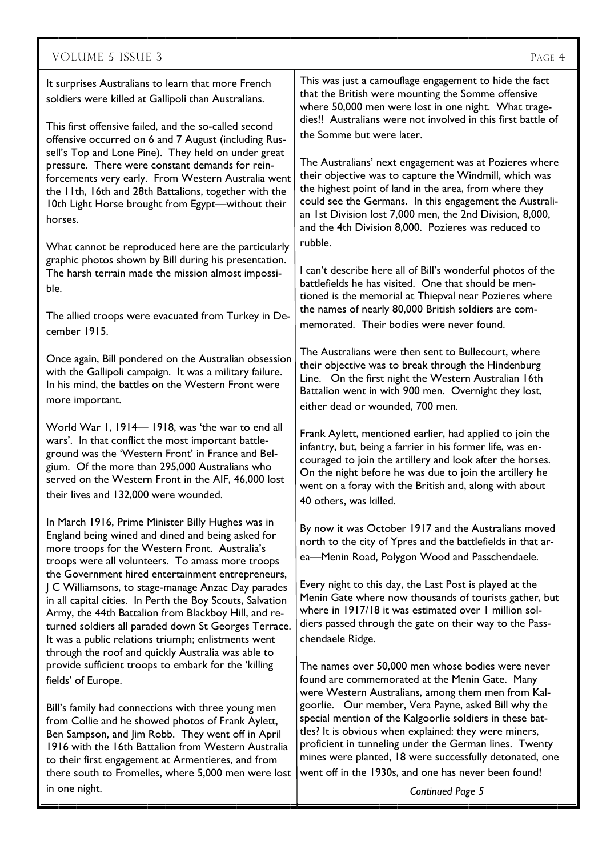It surprises Australians to learn that more French soldiers were killed at Gallipoli than Australians.

This first offensive failed, and the so-called second offensive occurred on 6 and 7 August (including Russell's Top and Lone Pine). They held on under great pressure. There were constant demands for reinforcements very early. From Western Australia went the 11th, 16th and 28th Battalions, together with the 10th Light Horse brought from Egypt—without their horses.

What cannot be reproduced here are the particularly graphic photos shown by Bill during his presentation. The harsh terrain made the mission almost impossible.

The allied troops were evacuated from Turkey in December 1915.

Once again, Bill pondered on the Australian obsession with the Gallipoli campaign. It was a military failure. In his mind, the battles on the Western Front were more important.

World War 1, 1914— 1918, was 'the war to end all wars'. In that conflict the most important battleground was the 'Western Front' in France and Belgium. Of the more than 295,000 Australians who served on the Western Front in the AIF, 46,000 lost their lives and 132,000 were wounded.

In March 1916, Prime Minister Billy Hughes was in England being wined and dined and being asked for more troops for the Western Front. Australia's troops were all volunteers. To amass more troops the Government hired entertainment entrepreneurs, J C Williamsons, to stage-manage Anzac Day parades in all capital cities. In Perth the Boy Scouts, Salvation Army, the 44th Battalion from Blackboy Hill, and returned soldiers all paraded down St Georges Terrace. It was a public relations triumph; enlistments went through the roof and quickly Australia was able to provide sufficient troops to embark for the 'killing fields' of Europe.

Bill's family had connections with three young men from Collie and he showed photos of Frank Aylett, Ben Sampson, and Jim Robb. They went off in April 1916 with the 16th Battalion from Western Australia to their first engagement at Armentieres, and from there south to Fromelles, where 5,000 men were lost in one night.

This was just a camouflage engagement to hide the fact that the British were mounting the Somme offensive where 50,000 men were lost in one night. What tragedies!! Australians were not involved in this first battle of the Somme but were later.

The Australians' next engagement was at Pozieres where their objective was to capture the Windmill, which was the highest point of land in the area, from where they could see the Germans. In this engagement the Australian 1st Division lost 7,000 men, the 2nd Division, 8,000, and the 4th Division 8,000. Pozieres was reduced to rubble.

I can't describe here all of Bill's wonderful photos of the battlefields he has visited. One that should be mentioned is the memorial at Thiepval near Pozieres where the names of nearly 80,000 British soldiers are commemorated. Their bodies were never found.

The Australians were then sent to Bullecourt, where their objective was to break through the Hindenburg Line. On the first night the Western Australian 16th Battalion went in with 900 men. Overnight they lost, either dead or wounded, 700 men.

Frank Aylett, mentioned earlier, had applied to join the infantry, but, being a farrier in his former life, was encouraged to join the artillery and look after the horses. On the night before he was due to join the artillery he went on a foray with the British and, along with about 40 others, was killed.

By now it was October 1917 and the Australians moved north to the city of Ypres and the battlefields in that area—Menin Road, Polygon Wood and Passchendaele.

Every night to this day, the Last Post is played at the Menin Gate where now thousands of tourists gather, but where in 1917/18 it was estimated over 1 million soldiers passed through the gate on their way to the Passchendaele Ridge.

The names over 50,000 men whose bodies were never found are commemorated at the Menin Gate. Many were Western Australians, among them men from Kalgoorlie. Our member, Vera Payne, asked Bill why the special mention of the Kalgoorlie soldiers in these battles? It is obvious when explained: they were miners, proficient in tunneling under the German lines. Twenty mines were planted, 18 were successfully detonated, one went off in the 1930s, and one has never been found!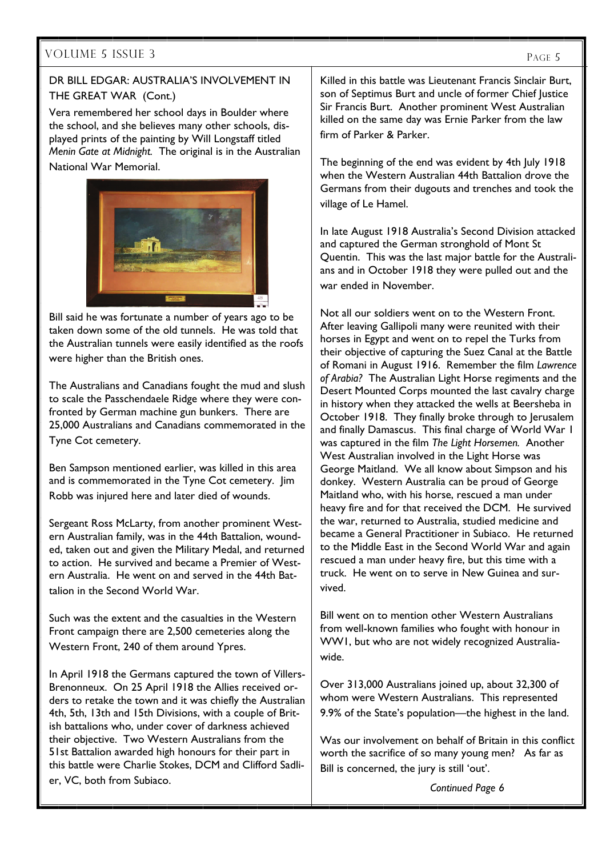### VOLUME 5 ISSUE 3

#### DR BILL EDGAR: AUSTRALIA'S INVOLVEMENT IN THE GREAT WAR (Cont.)

Vera remembered her school days in Boulder where the school, and she believes many other schools, displayed prints of the painting by Will Longstaff titled *Menin Gate at Midnight.* The original is in the Australian National War Memorial.



Bill said he was fortunate a number of years ago to be taken down some of the old tunnels. He was told that the Australian tunnels were easily identified as the roofs were higher than the British ones.

The Australians and Canadians fought the mud and slush to scale the Passchendaele Ridge where they were confronted by German machine gun bunkers. There are 25,000 Australians and Canadians commemorated in the Tyne Cot cemetery.

Ben Sampson mentioned earlier, was killed in this area and is commemorated in the Tyne Cot cemetery. Jim Robb was injured here and later died of wounds.

Sergeant Ross McLarty, from another prominent Western Australian family, was in the 44th Battalion, wounded, taken out and given the Military Medal, and returned to action. He survived and became a Premier of Western Australia. He went on and served in the 44th Battalion in the Second World War.

Such was the extent and the casualties in the Western Front campaign there are 2,500 cemeteries along the Western Front, 240 of them around Ypres.

In April 1918 the Germans captured the town of Villers-Brenonneux. On 25 April 1918 the Allies received orders to retake the town and it was chiefly the Australian 4th, 5th, 13th and 15th Divisions, with a couple of British battalions who, under cover of darkness achieved their objective. Two Western Australians from the 51st Battalion awarded high honours for their part in this battle were Charlie Stokes, DCM and Clifford Sadlier, VC, both from Subiaco.

Killed in this battle was Lieutenant Francis Sinclair Burt, son of Septimus Burt and uncle of former Chief Justice Sir Francis Burt. Another prominent West Australian killed on the same day was Ernie Parker from the law firm of Parker & Parker.

The beginning of the end was evident by 4th July 1918 when the Western Australian 44th Battalion drove the Germans from their dugouts and trenches and took the village of Le Hamel.

In late August 1918 Australia's Second Division attacked and captured the German stronghold of Mont St Quentin. This was the last major battle for the Australians and in October 1918 they were pulled out and the war ended in November.

Not all our soldiers went on to the Western Front. After leaving Gallipoli many were reunited with their horses in Egypt and went on to repel the Turks from their objective of capturing the Suez Canal at the Battle of Romani in August 1916. Remember the film *Lawrence of Arabia?* The Australian Light Horse regiments and the Desert Mounted Corps mounted the last cavalry charge in history when they attacked the wells at Beersheba in October 1918. They finally broke through to Jerusalem and finally Damascus. This final charge of World War 1 was captured in the film *The Light Horsemen.* Another West Australian involved in the Light Horse was George Maitland. We all know about Simpson and his donkey. Western Australia can be proud of George Maitland who, with his horse, rescued a man under heavy fire and for that received the DCM. He survived the war, returned to Australia, studied medicine and became a General Practitioner in Subiaco. He returned to the Middle East in the Second World War and again rescued a man under heavy fire, but this time with a truck. He went on to serve in New Guinea and survived.

Bill went on to mention other Western Australians from well-known families who fought with honour in WW1, but who are not widely recognized Australiawide.

Over 313,000 Australians joined up, about 32,300 of whom were Western Australians. This represented 9.9% of the State's population—the highest in the land.

Was our involvement on behalf of Britain in this conflict worth the sacrifice of so many young men? As far as Bill is concerned, the jury is still 'out'.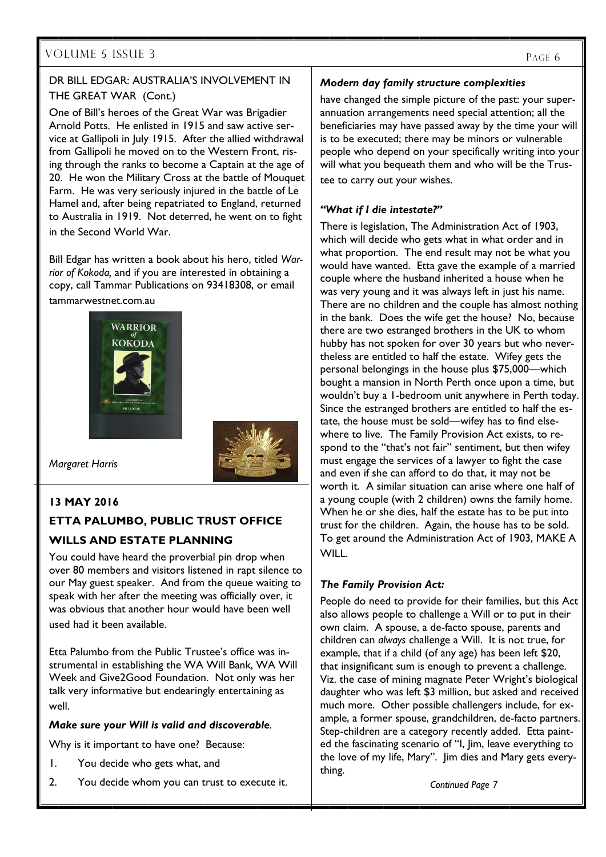# VOLUME 5 ISSUE 3

#### DR BILL EDGAR: AUSTRALIA'S INVOLVEMENT IN THE GREAT WAR (Cont.)

One of Bill's heroes of the Great War was Brigadier Arnold Potts. He enlisted in 1915 and saw active service at Gallipoli in July 1915. After the allied withdrawal from Gallipoli he moved on to the Western Front, rising through the ranks to become a Captain at the age of 20. He won the Military Cross at the battle of Mouquet Farm. He was very seriously injured in the battle of Le Hamel and, after being repatriated to England, returned to Australia in 1919. Not deterred, he went on to fight in the Second World War.

Bill Edgar has written a book about his hero, titled *Warrior of Kokoda,* and if you are interested in obtaining a copy, call Tammar Publications on 93418308, or email tammarwestnet.com.au





*Margaret Harris* 

#### **13 MAY 2016**

# **ETTA PALUMBO, PUBLIC TRUST OFFICE WILLS AND ESTATE PLANNING**

You could have heard the proverbial pin drop when over 80 members and visitors listened in rapt silence to our May guest speaker. And from the queue waiting to speak with her after the meeting was officially over, it was obvious that another hour would have been well used had it been available.

Etta Palumbo from the Public Trustee's office was instrumental in establishing the WA Will Bank, WA Will Week and Give2Good Foundation. Not only was her talk very informative but endearingly entertaining as well.

#### *Make sure your Will is valid and discoverable.*

Why is it important to have one? Because:

- 1. You decide who gets what, and
- 2. You decide whom you can trust to execute it.

#### *Modern day family structure complexities*

have changed the simple picture of the past: your superannuation arrangements need special attention; all the beneficiaries may have passed away by the time your will is to be executed; there may be minors or vulnerable people who depend on your specifically writing into your will what you bequeath them and who will be the Trustee to carry out your wishes.

#### *"What if I die intestate?"*

There is legislation, The Administration Act of 1903, which will decide who gets what in what order and in what proportion. The end result may not be what you would have wanted. Etta gave the example of a married couple where the husband inherited a house when he was very young and it was always left in just his name. There are no children and the couple has almost nothing in the bank. Does the wife get the house? No, because there are two estranged brothers in the UK to whom hubby has not spoken for over 30 years but who nevertheless are entitled to half the estate. Wifey gets the personal belongings in the house plus \$75,000—which bought a mansion in North Perth once upon a time, but wouldn't buy a 1-bedroom unit anywhere in Perth today. Since the estranged brothers are entitled to half the estate, the house must be sold—wifey has to find elsewhere to live. The Family Provision Act exists, to respond to the "that's not fair" sentiment, but then wifey must engage the services of a lawyer to fight the case and even if she can afford to do that, it may not be worth it. A similar situation can arise where one half of a young couple (with 2 children) owns the family home. When he or she dies, half the estate has to be put into trust for the children. Again, the house has to be sold. To get around the Administration Act of 1903, MAKE A WILL.

#### *The Family Provision Act:*

People do need to provide for their families, but this Act also allows people to challenge a Will or to put in their own claim. A spouse, a de-facto spouse, parents and children can *always* challenge a Will. It is not true, for example, that if a child (of any age) has been left \$20, that insignificant sum is enough to prevent a challenge. Viz. the case of mining magnate Peter Wright's biological daughter who was left \$3 million, but asked and received much more. Other possible challengers include, for example, a former spouse, grandchildren, de-facto partners. Step-children are a category recently added. Etta painted the fascinating scenario of "I, Jim, leave everything to the love of my life, Mary". Jim dies and Mary gets everything.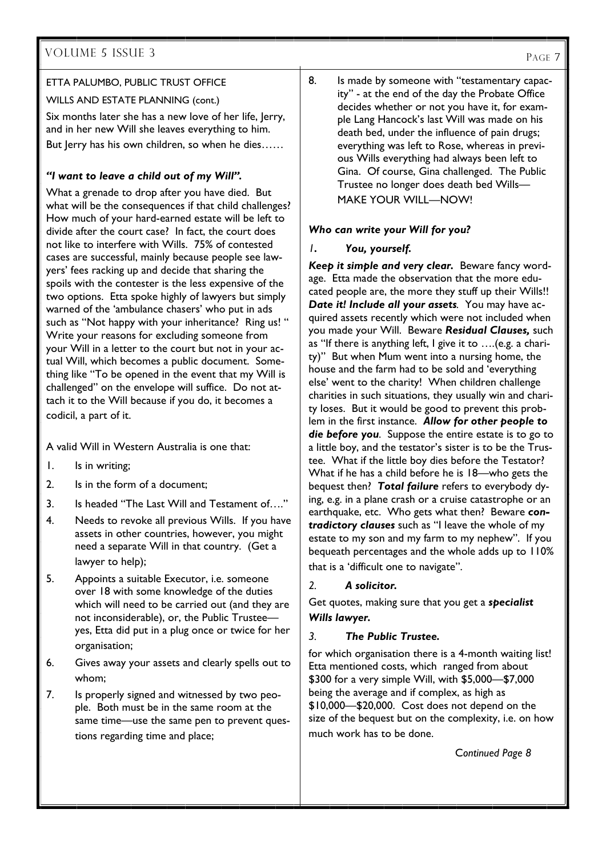# VOLUME 5 ISSUE 3

#### ETTA PALUMBO, PUBLIC TRUST OFFICE

WILLS AND ESTATE PLANNING (cont.)

Six months later she has a new love of her life, Jerry, and in her new Will she leaves everything to him. But Jerry has his own children, so when he dies……

#### *"I want to leave a child out of my Will".*

What a grenade to drop after you have died. But what will be the consequences if that child challenges? How much of your hard-earned estate will be left to divide after the court case? In fact, the court does not like to interfere with Wills. 75% of contested cases are successful, mainly because people see lawyers' fees racking up and decide that sharing the spoils with the contester is the less expensive of the two options. Etta spoke highly of lawyers but simply warned of the 'ambulance chasers' who put in ads such as "Not happy with your inheritance? Ring us! " Write your reasons for excluding someone from your Will in a letter to the court but not in your actual Will, which becomes a public document. Something like "To be opened in the event that my Will is challenged" on the envelope will suffice. Do not attach it to the Will because if you do, it becomes a codicil, a part of it.

A valid Will in Western Australia is one that:

- 1. Is in writing;
- 2. Is in the form of a document;
- 3. Is headed "The Last Will and Testament of…."
- 4. Needs to revoke all previous Wills. If you have assets in other countries, however, you might need a separate Will in that country. (Get a lawyer to help);
- 5. Appoints a suitable Executor, i.e. someone over 18 with some knowledge of the duties which will need to be carried out (and they are not inconsiderable), or, the Public Trustee yes, Etta did put in a plug once or twice for her organisation;
- 6. Gives away your assets and clearly spells out to whom;
- 7. Is properly signed and witnessed by two people. Both must be in the same room at the same time—use the same pen to prevent questions regarding time and place;

8. Is made by someone with "testamentary capacity" - at the end of the day the Probate Office decides whether or not you have it, for example Lang Hancock's last Will was made on his death bed, under the influence of pain drugs; everything was left to Rose, whereas in previous Wills everything had always been left to Gina. Of course, Gina challenged. The Public Trustee no longer does death bed Wills— MAKE YOUR WILL—NOW!

#### *Who can write your Will for you?*

#### *1. You, yourself.*

*Keep it simple and very clear.* Beware fancy wordage. Etta made the observation that the more educated people are, the more they stuff up their Wills!! *Date it! Include all your assets.* You may have acquired assets recently which were not included when you made your Will. Beware *Residual Clauses,* such as "If there is anything left, I give it to ….(e.g. a charity)" But when Mum went into a nursing home, the house and the farm had to be sold and 'everything else' went to the charity! When children challenge charities in such situations, they usually win and charity loses. But it would be good to prevent this problem in the first instance. *Allow for other people to die before you.* Suppose the entire estate is to go to a little boy, and the testator's sister is to be the Trustee. What if the little boy dies before the Testator? What if he has a child before he is 18—who gets the bequest then? *Total failure* refers to everybody dying, e.g. in a plane crash or a cruise catastrophe or an earthquake, etc. Who gets what then? Beware *contradictory clauses* such as "I leave the whole of my estate to my son and my farm to my nephew". If you bequeath percentages and the whole adds up to 110% that is a 'difficult one to navigate".

#### *2. A solicitor.*

Get quotes, making sure that you get a *specialist Wills lawyer.* 

#### *3. The Public Trustee.*

for which organisation there is a 4-month waiting list! Etta mentioned costs, which ranged from about \$300 for a very simple Will, with \$5,000—\$7,000 being the average and if complex, as high as \$10,000—\$20,000. Cost does not depend on the size of the bequest but on the complexity, i.e. on how much work has to be done.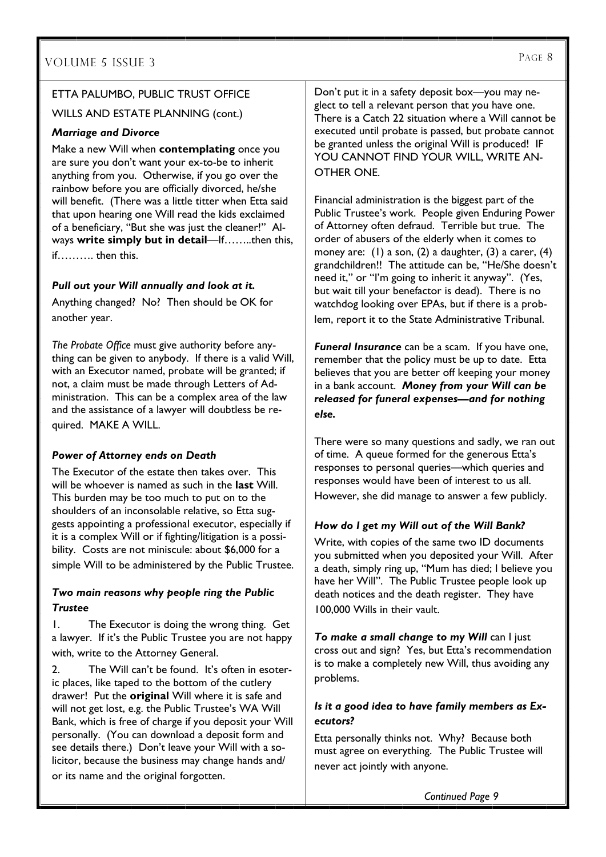#### ETTA PALUMBO, PUBLIC TRUST OFFICE

WILLS AND ESTATE PLANNING (cont.)

#### *Marriage and Divorce*

Make a new Will when **contemplating** once you are sure you don't want your ex-to-be to inherit anything from you. Otherwise, if you go over the rainbow before you are officially divorced, he/she will benefit. (There was a little titter when Etta said that upon hearing one Will read the kids exclaimed of a beneficiary, "But she was just the cleaner!" Always **write simply but in detail**—If……..then this, if………. then this.

#### *Pull out your Will annually and look at it.*

Anything changed? No? Then should be OK for another year.

*The Probate Office* must give authority before anything can be given to anybody. If there is a valid Will, with an Executor named, probate will be granted; if not, a claim must be made through Letters of Administration. This can be a complex area of the law and the assistance of a lawyer will doubtless be required. MAKE A WILL.

#### *Power of Attorney ends on Death*

The Executor of the estate then takes over. This will be whoever is named as such in the **last** Will. This burden may be too much to put on to the shoulders of an inconsolable relative, so Etta suggests appointing a professional executor, especially if it is a complex Will or if fighting/litigation is a possibility. Costs are not miniscule: about \$6,000 for a simple Will to be administered by the Public Trustee.

#### *Two main reasons why people ring the Public Trustee*

1. The Executor is doing the wrong thing. Get a lawyer. If it's the Public Trustee you are not happy with, write to the Attorney General.

2. The Will can't be found. It's often in esoteric places, like taped to the bottom of the cutlery drawer! Put the **original** Will where it is safe and will not get lost, e.g. the Public Trustee's WA Will Bank, which is free of charge if you deposit your Will personally. (You can download a deposit form and see details there.) Don't leave your Will with a solicitor, because the business may change hands and/ or its name and the original forgotten.

Don't put it in a safety deposit box—you may neglect to tell a relevant person that you have one. There is a Catch 22 situation where a Will cannot be executed until probate is passed, but probate cannot be granted unless the original Will is produced! IF YOU CANNOT FIND YOUR WILL, WRITE AN-OTHER ONE.

Financial administration is the biggest part of the Public Trustee's work. People given Enduring Power of Attorney often defraud. Terrible but true. The order of abusers of the elderly when it comes to money are: (1) a son, (2) a daughter, (3) a carer, (4) grandchildren!! The attitude can be, "He/She doesn't need it," or "I'm going to inherit it anyway". (Yes, but wait till your benefactor is dead). There is no watchdog looking over EPAs, but if there is a problem, report it to the State Administrative Tribunal.

*Funeral Insurance* can be a scam. If you have one, remember that the policy must be up to date. Etta believes that you are better off keeping your money in a bank account. *Money from your Will can be released for funeral expenses—and for nothing else.* 

There were so many questions and sadly, we ran out of time. A queue formed for the generous Etta's responses to personal queries—which queries and responses would have been of interest to us all. However, she did manage to answer a few publicly.

#### *How do I get my Will out of the Will Bank?*

Write, with copies of the same two ID documents you submitted when you deposited your Will. After a death, simply ring up, "Mum has died; I believe you have her Will". The Public Trustee people look up death notices and the death register. They have 100,000 Wills in their vault.

*To make a small change to my Will* can I just cross out and sign? Yes, but Etta's recommendation is to make a completely new Will, thus avoiding any problems.

#### *Is it a good idea to have family members as Executors?*

Etta personally thinks not. Why? Because both must agree on everything. The Public Trustee will never act jointly with anyone.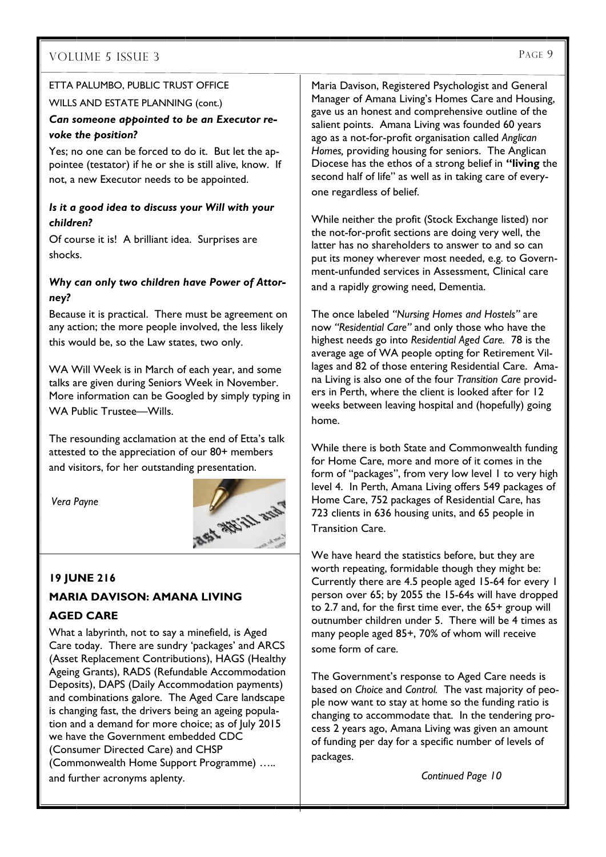#### ETTA PALUMBO, PUBLIC TRUST OFFICE

#### WILLS AND ESTATE PLANNING (cont.)

#### *Can someone appointed to be an Executor revoke the position?*

Yes; no one can be forced to do it. But let the appointee (testator) if he or she is still alive, know. If not, a new Executor needs to be appointed.

#### *Is it a good idea to discuss your Will with your children?*

Of course it is! A brilliant idea. Surprises are shocks.

#### *Why can only two children have Power of Attorney?*

Because it is practical. There must be agreement on any action; the more people involved, the less likely this would be, so the Law states, two only.

WA Will Week is in March of each year, and some talks are given during Seniors Week in November. More information can be Googled by simply typing in WA Public Trustee—Wills.

The resounding acclamation at the end of Etta's talk attested to the appreciation of our 80+ members and visitors, for her outstanding presentation.

*Vera Payne* 

#### **19 JUNE 216**

#### **MARIA DAVISON: AMANA LIVING**

#### **AGED CARE**

What a labyrinth, not to say a minefield, is Aged Care today. There are sundry 'packages' and ARCS (Asset Replacement Contributions), HAGS (Healthy Ageing Grants), RADS (Refundable Accommodation Deposits), DAPS (Daily Accommodation payments) and combinations galore. The Aged Care landscape is changing fast, the drivers being an ageing population and a demand for more choice; as of July 2015 we have the Government embedded CDC (Consumer Directed Care) and CHSP (Commonwealth Home Support Programme) ….. and further acronyms aplenty.

Maria Davison, Registered Psychologist and General Manager of Amana Living's Homes Care and Housing, gave us an honest and comprehensive outline of the salient points. Amana Living was founded 60 years ago as a not-for-profit organisation called *Anglican Homes,* providing housing for seniors. The Anglican Diocese has the ethos of a strong belief in **"living** the second half of life" as well as in taking care of everyone regardless of belief.

While neither the profit (Stock Exchange listed) nor the not-for-profit sections are doing very well, the latter has no shareholders to answer to and so can put its money wherever most needed, e.g. to Government-unfunded services in Assessment, Clinical care and a rapidly growing need, Dementia.

The once labeled *"Nursing Homes and Hostels"* are now *"Residential Care"* and only those who have the highest needs go into *Residential Aged Care.* 78 is the average age of WA people opting for Retirement Villages and 82 of those entering Residential Care. Amana Living is also one of the four *Transition Care* providers in Perth, where the client is looked after for 12 weeks between leaving hospital and (hopefully) going home.

While there is both State and Commonwealth funding for Home Care, more and more of it comes in the form of "packages", from very low level 1 to very high level 4. In Perth, Amana Living offers 549 packages of Home Care, 752 packages of Residential Care, has 723 clients in 636 housing units, and 65 people in Transition Care.

We have heard the statistics before, but they are worth repeating, formidable though they might be: Currently there are 4.5 people aged 15-64 for every 1 person over 65; by 2055 the 15-64s will have dropped to 2.7 and, for the first time ever, the 65+ group will outnumber children under 5. There will be 4 times as many people aged 85+, 70% of whom will receive some form of care.

The Government's response to Aged Care needs is based on *Choice* and *Control.* The vast majority of people now want to stay at home so the funding ratio is changing to accommodate that. In the tendering process 2 years ago, Amana Living was given an amount of funding per day for a specific number of levels of packages.

*Continued Page 10* 

# ASI WEILL AND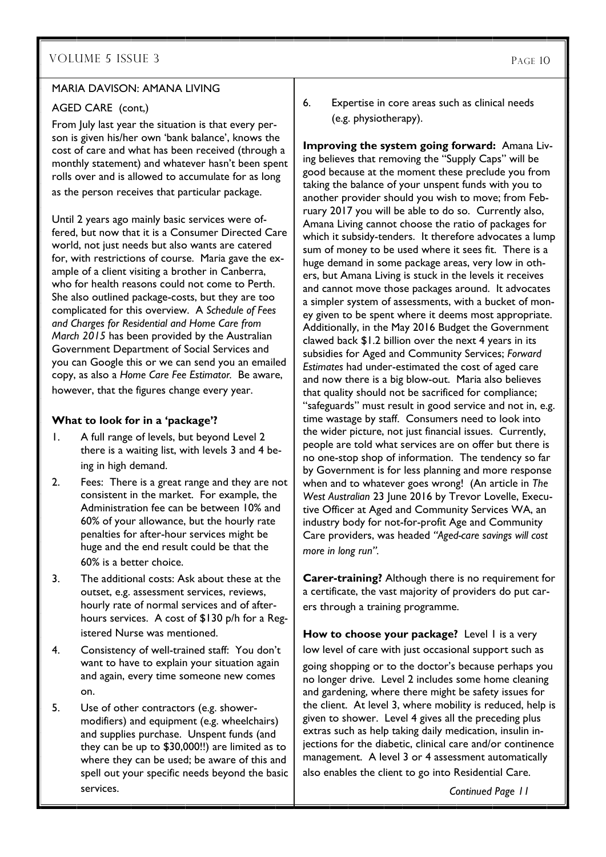#### MARIA DAVISON: AMANA LIVING

#### AGED CARE (cont,)

From July last year the situation is that every person is given his/her own 'bank balance', knows the cost of care and what has been received (through a monthly statement) and whatever hasn't been spent rolls over and is allowed to accumulate for as long as the person receives that particular package.

Until 2 years ago mainly basic services were offered, but now that it is a Consumer Directed Care world, not just needs but also wants are catered for, with restrictions of course. Maria gave the example of a client visiting a brother in Canberra, who for health reasons could not come to Perth. She also outlined package-costs, but they are too complicated for this overview. A *Schedule of Fees and Charges for Residential and Home Care from March 2015* has been provided by the Australian Government Department of Social Services and you can Google this or we can send you an emailed copy, as also a *Home Care Fee Estimator.* Be aware,

however, that the figures change every year.

#### **What to look for in a 'package'?**

- 1. A full range of levels, but beyond Level 2 there is a waiting list, with levels 3 and 4 being in high demand.
- 2. Fees: There is a great range and they are not consistent in the market. For example, the Administration fee can be between 10% and 60% of your allowance, but the hourly rate penalties for after-hour services might be huge and the end result could be that the 60% is a better choice.
- 3. The additional costs: Ask about these at the outset, e.g. assessment services, reviews, hourly rate of normal services and of afterhours services. A cost of \$130 p/h for a Registered Nurse was mentioned.
- 4. Consistency of well-trained staff: You don't want to have to explain your situation again and again, every time someone new comes on.
- 5. Use of other contractors (e.g. showermodifiers) and equipment (e.g. wheelchairs) and supplies purchase. Unspent funds (and they can be up to \$30,000!!) are limited as to where they can be used; be aware of this and spell out your specific needs beyond the basic services.

6. Expertise in core areas such as clinical needs (e.g. physiotherapy).

**Improving the system going forward:** Amana Living believes that removing the "Supply Caps" will be good because at the moment these preclude you from taking the balance of your unspent funds with you to another provider should you wish to move; from February 2017 you will be able to do so. Currently also, Amana Living cannot choose the ratio of packages for which it subsidy-tenders. It therefore advocates a lump sum of money to be used where it sees fit. There is a huge demand in some package areas, very low in others, but Amana Living is stuck in the levels it receives and cannot move those packages around. It advocates a simpler system of assessments, with a bucket of money given to be spent where it deems most appropriate. Additionally, in the May 2016 Budget the Government clawed back \$1.2 billion over the next 4 years in its subsidies for Aged and Community Services; *Forward Estimates* had under-estimated the cost of aged care and now there is a big blow-out. Maria also believes that quality should not be sacrificed for compliance; "safeguards" must result in good service and not in, e.g. time wastage by staff. Consumers need to look into the wider picture, not just financial issues. Currently, people are told what services are on offer but there is no one-stop shop of information. The tendency so far by Government is for less planning and more response when and to whatever goes wrong! (An article in *The West Australian* 23 June 2016 by Trevor Lovelle, Executive Officer at Aged and Community Services WA, an industry body for not-for-profit Age and Community Care providers, was headed *"Aged-care savings will cost more in long run".*

**Carer-training?** Although there is no requirement for a certificate, the vast majority of providers do put carers through a training programme.

**How to choose your package?** Level I is a very low level of care with just occasional support such as

going shopping or to the doctor's because perhaps you no longer drive. Level 2 includes some home cleaning and gardening, where there might be safety issues for the client. At level 3, where mobility is reduced, help is given to shower. Level 4 gives all the preceding plus extras such as help taking daily medication, insulin injections for the diabetic, clinical care and/or continence management. A level 3 or 4 assessment automatically also enables the client to go into Residential Care.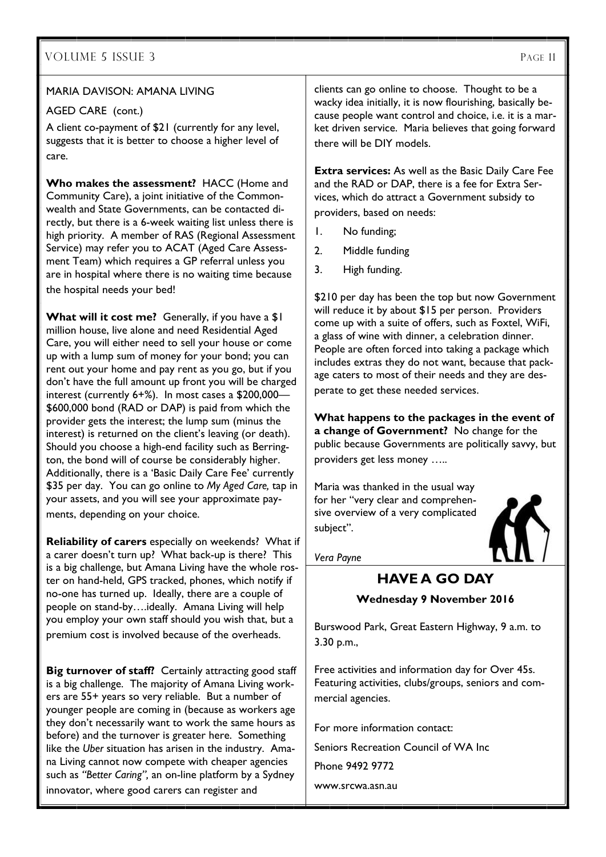#### MARIA DAVISON: AMANA LIVING

#### AGED CARE (cont.)

A client co-payment of \$21 (currently for any level, suggests that it is better to choose a higher level of care.

**Who makes the assessment?** HACC (Home and Community Care), a joint initiative of the Commonwealth and State Governments, can be contacted directly, but there is a 6-week waiting list unless there is high priority. A member of RAS (Regional Assessment Service) may refer you to ACAT (Aged Care Assessment Team) which requires a GP referral unless you are in hospital where there is no waiting time because the hospital needs your bed!

**What will it cost me?** Generally, if you have a \$1 million house, live alone and need Residential Aged Care, you will either need to sell your house or come up with a lump sum of money for your bond; you can rent out your home and pay rent as you go, but if you don't have the full amount up front you will be charged interest (currently 6+%). In most cases a \$200,000— \$600,000 bond (RAD or DAP) is paid from which the provider gets the interest; the lump sum (minus the interest) is returned on the client's leaving (or death). Should you choose a high-end facility such as Berrington, the bond will of course be considerably higher. Additionally, there is a 'Basic Daily Care Fee' currently \$35 per day. You can go online to *My Aged Care,* tap in your assets, and you will see your approximate payments, depending on your choice.

**Reliability of carers** especially on weekends? What if a carer doesn't turn up? What back-up is there? This is a big challenge, but Amana Living have the whole roster on hand-held, GPS tracked, phones, which notify if no-one has turned up. Ideally, there are a couple of people on stand-by….ideally. Amana Living will help you employ your own staff should you wish that, but a premium cost is involved because of the overheads.

**Big turnover of staff?** Certainly attracting good staff is a big challenge. The majority of Amana Living workers are 55+ years so very reliable. But a number of younger people are coming in (because as workers age they don't necessarily want to work the same hours as before) and the turnover is greater here. Something like the *Uber* situation has arisen in the industry. Amana Living cannot now compete with cheaper agencies such as *"Better Caring",* an on-line platform by a Sydney innovator, where good carers can register and

clients can go online to choose. Thought to be a wacky idea initially, it is now flourishing, basically because people want control and choice, i.e. it is a market driven service. Maria believes that going forward there will be DIY models.

**Extra services:** As well as the Basic Daily Care Fee and the RAD or DAP, there is a fee for Extra Services, which do attract a Government subsidy to providers, based on needs:

- 1. No funding;
- 2. Middle funding
- 3. High funding.

\$210 per day has been the top but now Government will reduce it by about \$15 per person. Providers come up with a suite of offers, such as Foxtel, WiFi, a glass of wine with dinner, a celebration dinner. People are often forced into taking a package which includes extras they do not want, because that package caters to most of their needs and they are desperate to get these needed services.

**What happens to the packages in the event of a change of Government?** No change for the public because Governments are politically savvy, but providers get less money …..

Maria was thanked in the usual way for her "very clear and comprehensive overview of a very complicated subject".



*Vera Payne* 

# **HAVE A GO DAY**

#### **Wednesday 9 November 2016**

Burswood Park, Great Eastern Highway, 9 a.m. to 3.30 p.m.,

Free activities and information day for Over 45s. Featuring activities, clubs/groups, seniors and commercial agencies.

For more information contact: Seniors Recreation Council of WA Inc Phone 9492 9772 www.srcwa.asn.au